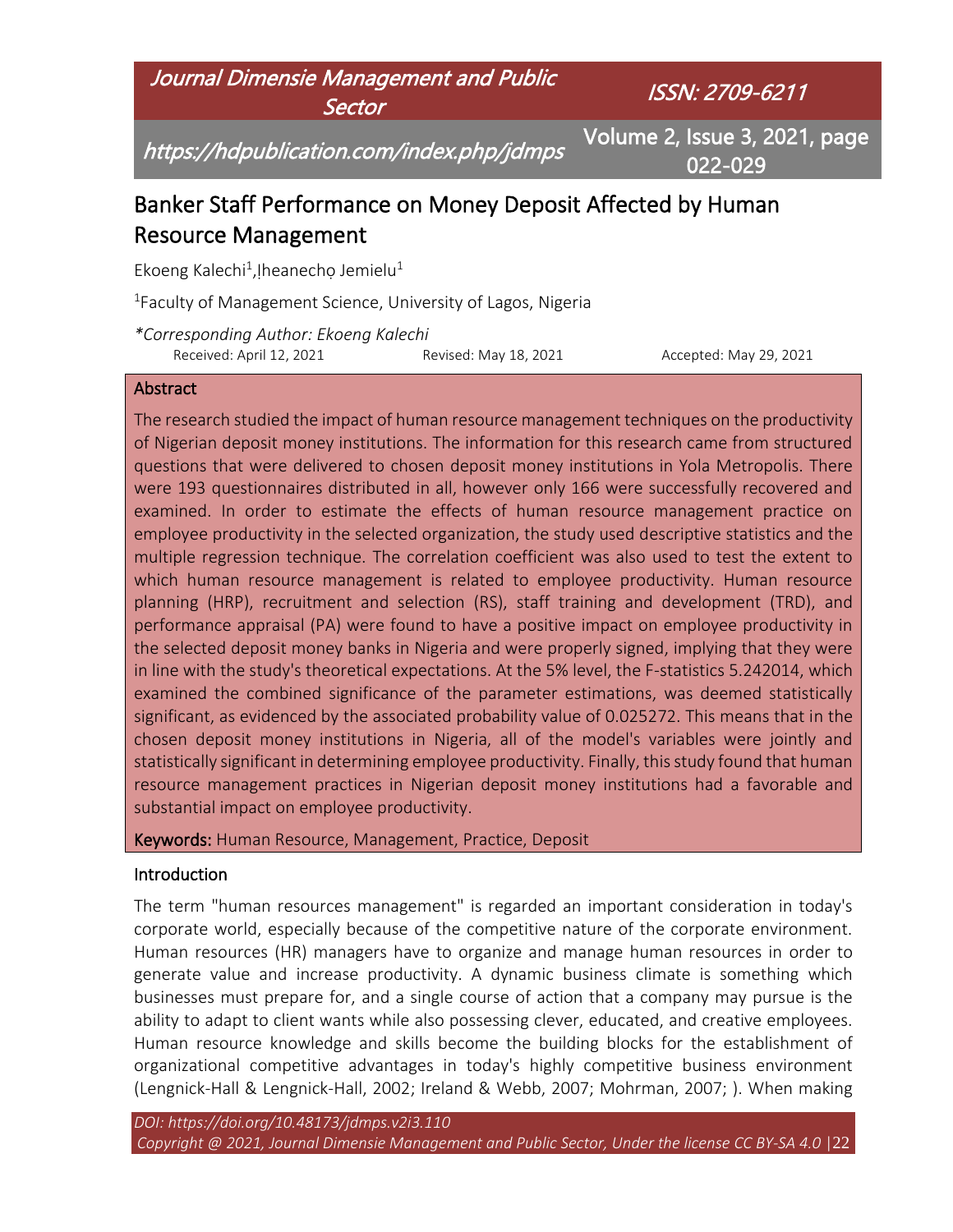

# Banker Staff Performance on Money Deposit Affected by Human Resource Management

Ekoeng Kalechi<sup>1</sup>, !heanecho Jemielu<sup>1</sup>

<sup>1</sup>Faculty of Management Science, University of Lagos, Nigeria

*\*Corresponding Author: Ekoeng Kalechi* Received: April 12, 2021 Revised: May 18, 2021 Accepted: May 29, 2021

#### **Abstract**

The research studied the impact of human resource management techniques on the productivity of Nigerian deposit money institutions. The information for this research came from structured questions that were delivered to chosen deposit money institutions in Yola Metropolis. There were 193 questionnaires distributed in all, however only 166 were successfully recovered and examined. In order to estimate the effects of human resource management practice on employee productivity in the selected organization, the study used descriptive statistics and the multiple regression technique. The correlation coefficient was also used to test the extent to which human resource management is related to employee productivity. Human resource planning (HRP), recruitment and selection (RS), staff training and development (TRD), and performance appraisal (PA) were found to have a positive impact on employee productivity in the selected deposit money banks in Nigeria and were properly signed, implying that they were in line with the study's theoretical expectations. At the 5% level, the F-statistics 5.242014, which examined the combined significance of the parameter estimations, was deemed statistically significant, as evidenced by the associated probability value of 0.025272. This means that in the chosen deposit money institutions in Nigeria, all of the model's variables were jointly and statistically significant in determining employee productivity. Finally, this study found that human resource management practices in Nigerian deposit money institutions had a favorable and substantial impact on employee productivity.

Keywords: Human Resource, Management, Practice, Deposit

#### Introduction

The term "human resources management" is regarded an important consideration in today's corporate world, especially because of the competitive nature of the corporate environment. Human resources (HR) managers have to organize and manage human resources in order to generate value and increase productivity. A dynamic business climate is something which businesses must prepare for, and a single course of action that a company may pursue is the ability to adapt to client wants while also possessing clever, educated, and creative employees. Human resource knowledge and skills become the building blocks for the establishment of organizational competitive advantages in today's highly competitive business environment (Lengnick-Hall & Lengnick-Hall, 2002; Ireland & Webb, 2007; Mohrman, 2007; ). When making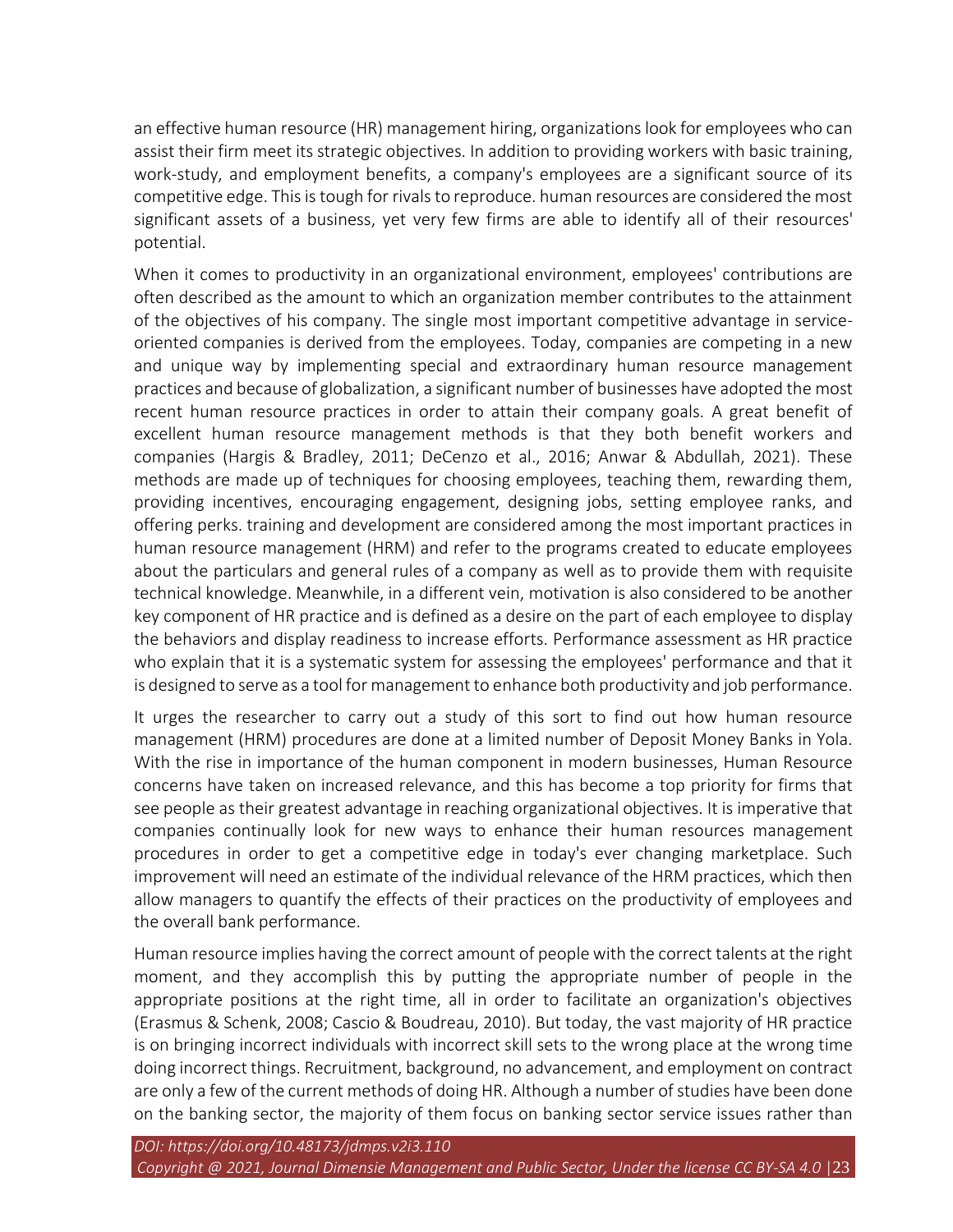an effective human resource (HR) management hiring, organizations look for employees who can assist their firm meet its strategic objectives. In addition to providing workers with basic training, work-study, and employment benefits, a company's employees are a significant source of its competitive edge. This is tough for rivals to reproduce. human resources are considered the most significant assets of a business, yet very few firms are able to identify all of their resources' potential.

When it comes to productivity in an organizational environment, employees' contributions are often described as the amount to which an organization member contributes to the attainment of the objectives of his company. The single most important competitive advantage in serviceoriented companies is derived from the employees. Today, companies are competing in a new and unique way by implementing special and extraordinary human resource management practices and because of globalization, a significant number of businesses have adopted the most recent human resource practices in order to attain their company goals. A great benefit of excellent human resource management methods is that they both benefit workers and companies (Hargis & Bradley, 2011; DeCenzo et al., 2016; Anwar & Abdullah, 2021). These methods are made up of techniques for choosing employees, teaching them, rewarding them, providing incentives, encouraging engagement, designing jobs, setting employee ranks, and offering perks. training and development are considered among the most important practices in human resource management (HRM) and refer to the programs created to educate employees about the particulars and general rules of a company as well as to provide them with requisite technical knowledge. Meanwhile, in a different vein, motivation is also considered to be another key component of HR practice and is defined as a desire on the part of each employee to display the behaviors and display readiness to increase efforts. Performance assessment as HR practice who explain that it is a systematic system for assessing the employees' performance and that it is designed to serve as a tool for management to enhance both productivity and job performance.

It urges the researcher to carry out a study of this sort to find out how human resource management (HRM) procedures are done at a limited number of Deposit Money Banks in Yola. With the rise in importance of the human component in modern businesses, Human Resource concerns have taken on increased relevance, and this has become a top priority for firms that see people as their greatest advantage in reaching organizational objectives. It is imperative that companies continually look for new ways to enhance their human resources management procedures in order to get a competitive edge in today's ever changing marketplace. Such improvement will need an estimate of the individual relevance of the HRM practices, which then allow managers to quantify the effects of their practices on the productivity of employees and the overall bank performance.

Human resource implies having the correct amount of people with the correct talents at the right moment, and they accomplish this by putting the appropriate number of people in the appropriate positions at the right time, all in order to facilitate an organization's objectives (Erasmus & Schenk, 2008; Cascio & Boudreau, 2010). But today, the vast majority of HR practice is on bringing incorrect individuals with incorrect skill sets to the wrong place at the wrong time doing incorrect things. Recruitment, background, no advancement, and employment on contract are only a few of the current methods of doing HR. Although a number of studies have been done on the banking sector, the majority of them focus on banking sector service issues rather than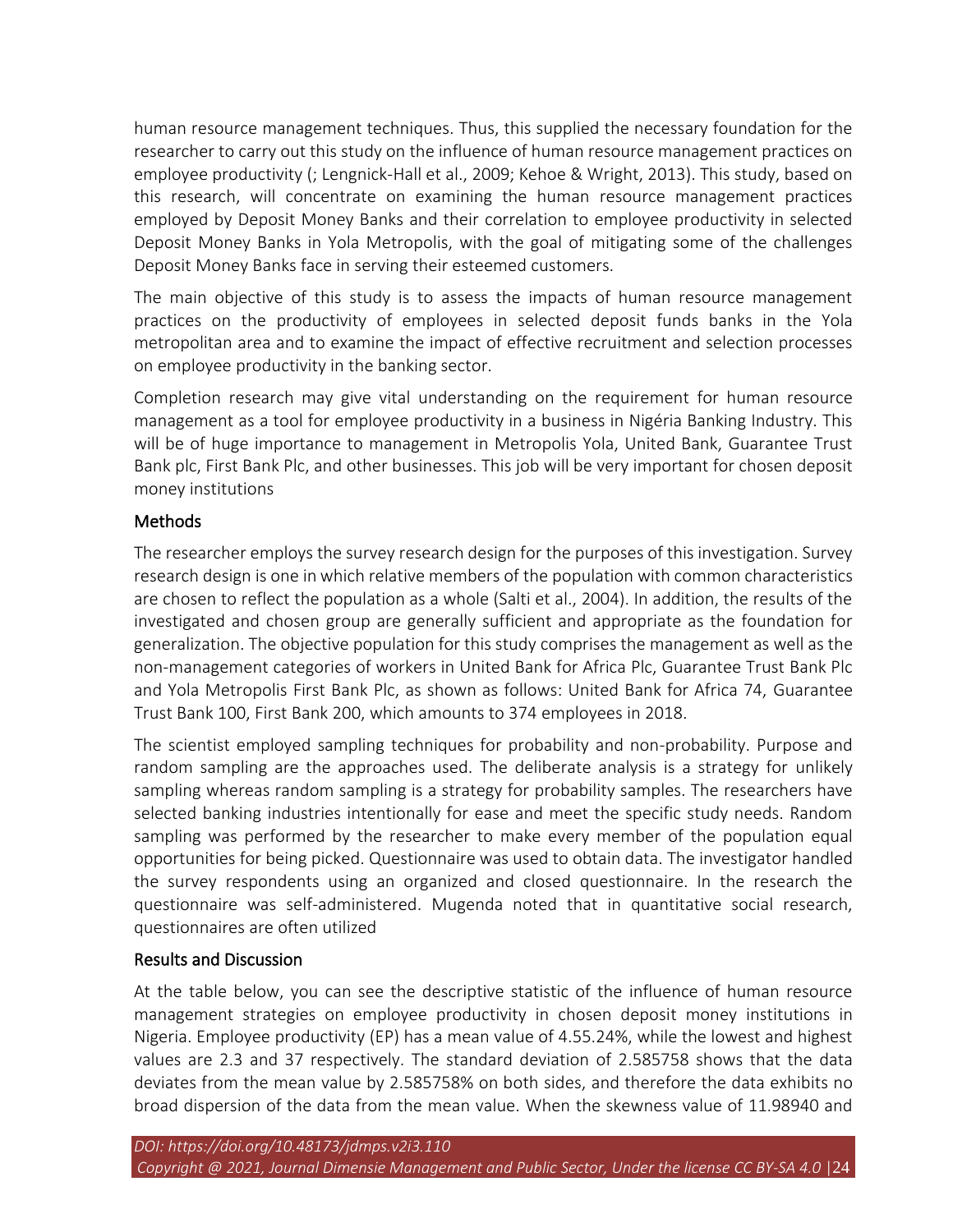human resource management techniques. Thus, this supplied the necessary foundation for the researcher to carry out this study on the influence of human resource management practices on employee productivity (; Lengnick-Hall et al., 2009; Kehoe & Wright, 2013). This study, based on this research, will concentrate on examining the human resource management practices employed by Deposit Money Banks and their correlation to employee productivity in selected Deposit Money Banks in Yola Metropolis, with the goal of mitigating some of the challenges Deposit Money Banks face in serving their esteemed customers.

The main objective of this study is to assess the impacts of human resource management practices on the productivity of employees in selected deposit funds banks in the Yola metropolitan area and to examine the impact of effective recruitment and selection processes on employee productivity in the banking sector.

Completion research may give vital understanding on the requirement for human resource management as a tool for employee productivity in a business in Nigéria Banking Industry. This will be of huge importance to management in Metropolis Yola, United Bank, Guarantee Trust Bank plc, First Bank Plc, and other businesses. This job will be very important for chosen deposit money institutions

### **Methods**

The researcher employs the survey research design for the purposes of this investigation. Survey research design is one in which relative members of the population with common characteristics are chosen to reflect the population as a whole (Salti et al., 2004). In addition, the results of the investigated and chosen group are generally sufficient and appropriate as the foundation for generalization. The objective population for this study comprises the management as well as the non-management categories of workers in United Bank for Africa Plc, Guarantee Trust Bank Plc and Yola Metropolis First Bank Plc, as shown as follows: United Bank for Africa 74, Guarantee Trust Bank 100, First Bank 200, which amounts to 374 employees in 2018.

The scientist employed sampling techniques for probability and non-probability. Purpose and random sampling are the approaches used. The deliberate analysis is a strategy for unlikely sampling whereas random sampling is a strategy for probability samples. The researchers have selected banking industries intentionally for ease and meet the specific study needs. Random sampling was performed by the researcher to make every member of the population equal opportunities for being picked. Questionnaire was used to obtain data. The investigator handled the survey respondents using an organized and closed questionnaire. In the research the questionnaire was self-administered. Mugenda noted that in quantitative social research, questionnaires are often utilized

### Results and Discussion

At the table below, you can see the descriptive statistic of the influence of human resource management strategies on employee productivity in chosen deposit money institutions in Nigeria. Employee productivity (EP) has a mean value of 4.55.24%, while the lowest and highest values are 2.3 and 37 respectively. The standard deviation of 2.585758 shows that the data deviates from the mean value by 2.585758% on both sides, and therefore the data exhibits no broad dispersion of the data from the mean value. When the skewness value of 11.98940 and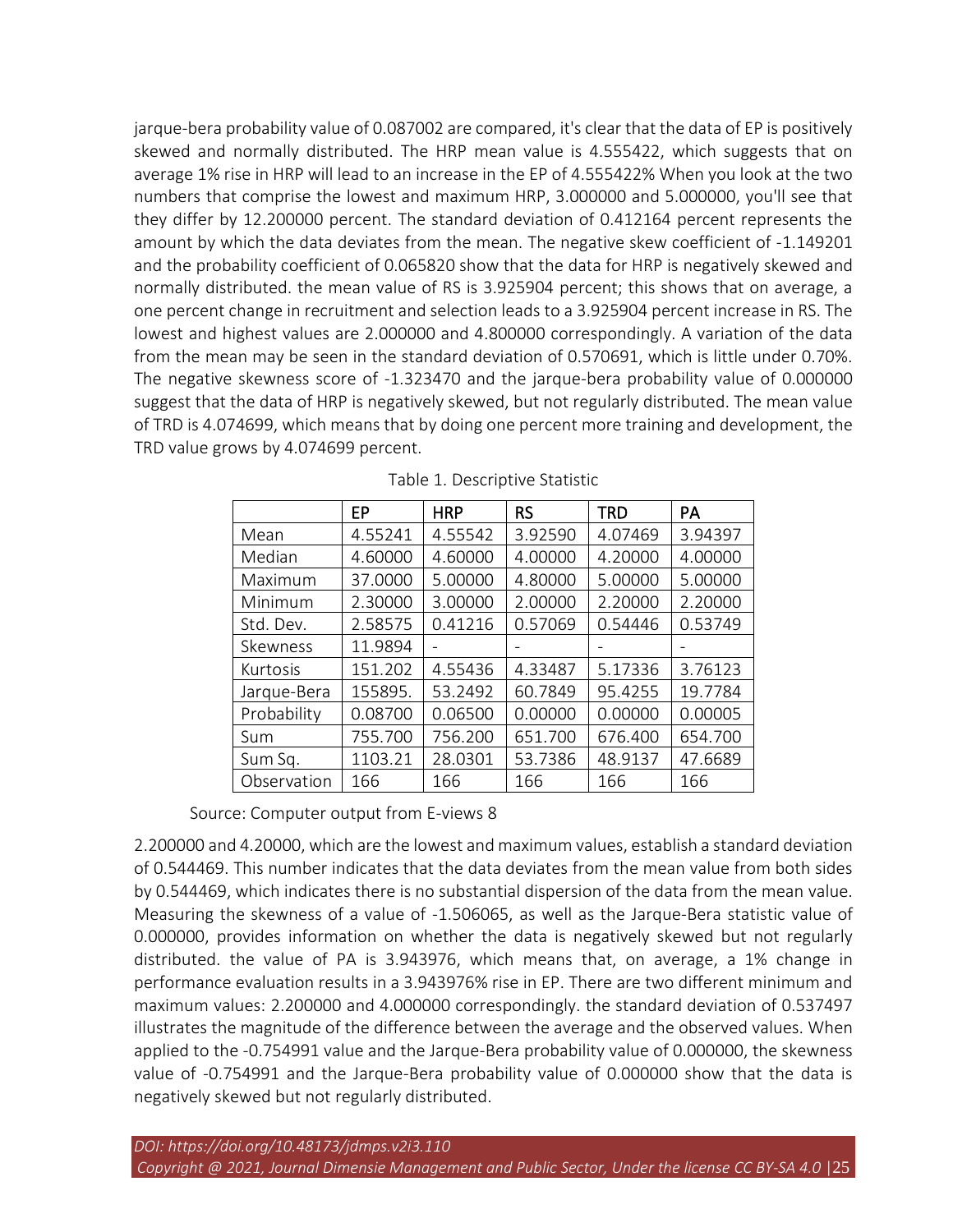jarque-bera probability value of 0.087002 are compared, it's clear that the data of EP is positively skewed and normally distributed. The HRP mean value is 4.555422, which suggests that on average 1% rise in HRP will lead to an increase in the EP of 4.555422% When you look at the two numbers that comprise the lowest and maximum HRP, 3.000000 and 5.000000, you'll see that they differ by 12.200000 percent. The standard deviation of 0.412164 percent represents the amount by which the data deviates from the mean. The negative skew coefficient of -1.149201 and the probability coefficient of 0.065820 show that the data for HRP is negatively skewed and normally distributed. the mean value of RS is 3.925904 percent; this shows that on average, a one percent change in recruitment and selection leads to a 3.925904 percent increase in RS. The lowest and highest values are 2.000000 and 4.800000 correspondingly. A variation of the data from the mean may be seen in the standard deviation of 0.570691, which is little under 0.70%. The negative skewness score of -1.323470 and the jarque-bera probability value of 0.000000 suggest that the data of HRP is negatively skewed, but not regularly distributed. The mean value of TRD is 4.074699, which means that by doing one percent more training and development, the TRD value grows by 4.074699 percent.

|             | EP      | <b>HRP</b> | <b>RS</b> | TRD     | PA      |
|-------------|---------|------------|-----------|---------|---------|
| Mean        | 4.55241 | 4.55542    | 3.92590   | 4.07469 | 3.94397 |
| Median      | 4.60000 | 4.60000    | 4.00000   | 4.20000 | 4.00000 |
| Maximum     | 37,0000 | 5.00000    | 4.80000   | 5.00000 | 5.00000 |
| Minimum     | 2.30000 | 3.00000    | 2.00000   | 2.20000 | 2.20000 |
| Std. Dev.   | 2.58575 | 0.41216    | 0.57069   | 0.54446 | 0.53749 |
| Skewness    | 11.9894 |            |           |         |         |
| Kurtosis    | 151.202 | 4.55436    | 4.33487   | 5.17336 | 3.76123 |
| Jarque-Bera | 155895. | 53.2492    | 60.7849   | 95.4255 | 19.7784 |
| Probability | 0.08700 | 0.06500    | 0.00000   | 0.00000 | 0.00005 |
| Sum         | 755.700 | 756.200    | 651.700   | 676.400 | 654.700 |
| Sum Sq.     | 1103.21 | 28.0301    | 53.7386   | 48.9137 | 47.6689 |
| Observation | 166     | 166        | 166       | 166     | 166     |

s Source: Computer output from E-views 8

2.200000 and 4.20000, which are the lowest and maximum values, establish a standard deviation of 0.544469. This number indicates that the data deviates from the mean value from both sides by 0.544469, which indicates there is no substantial dispersion of the data from the mean value. Measuring the skewness of a value of -1.506065, as well as the Jarque-Bera statistic value of 0.000000, provides information on whether the data is negatively skewed but not regularly distributed. the value of PA is 3.943976, which means that, on average, a 1% change in performance evaluation results in a 3.943976% rise in EP. There are two different minimum and maximum values: 2.200000 and 4.000000 correspondingly. the standard deviation of 0.537497 illustrates the magnitude of the difference between the average and the observed values. When applied to the -0.754991 value and the Jarque-Bera probability value of 0.000000, the skewness value of -0.754991 and the Jarque-Bera probability value of 0.000000 show that the data is negatively skewed but not regularly distributed.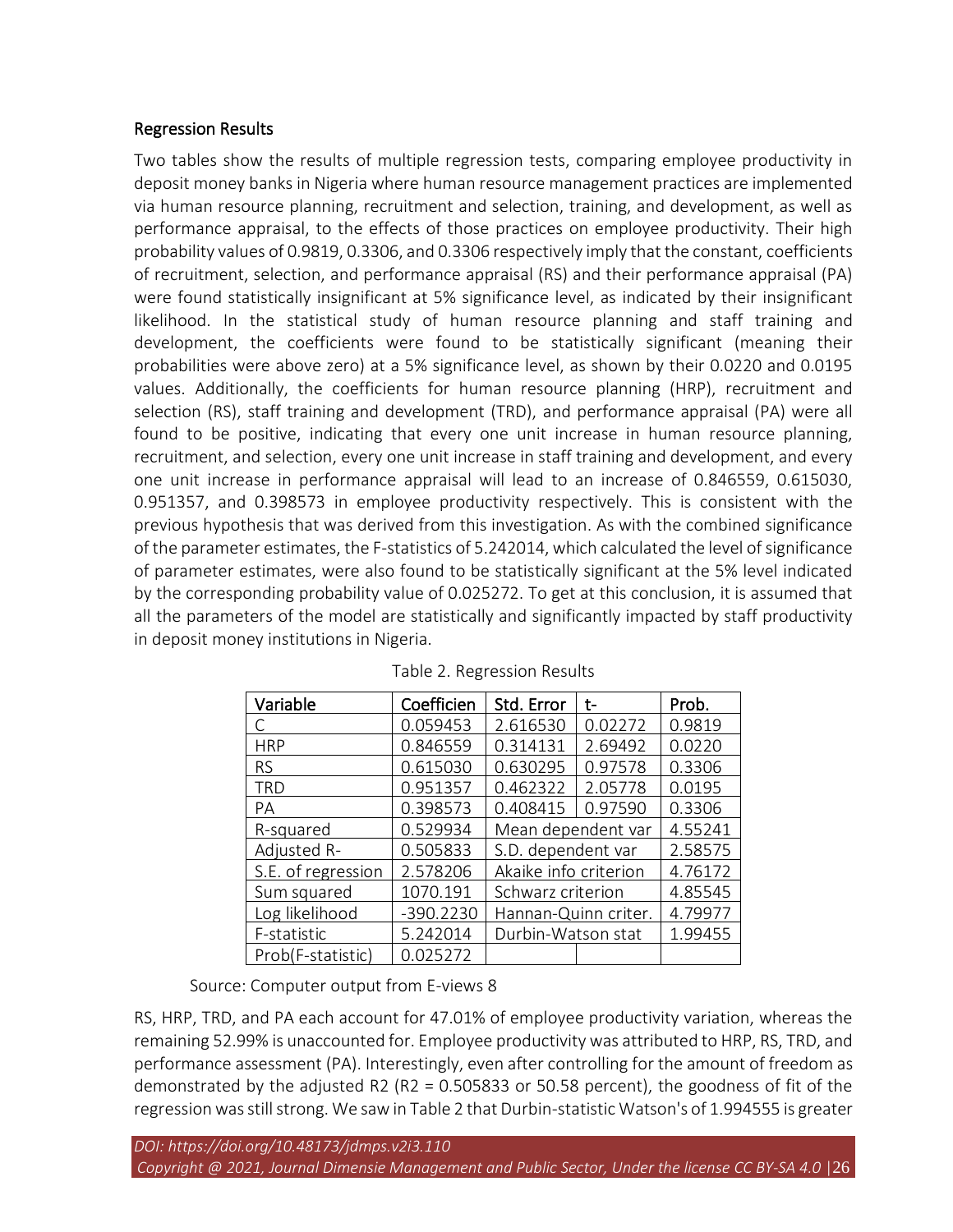# Regression Results

Two tables show the results of multiple regression tests, comparing employee productivity in deposit money banks in Nigeria where human resource management practices are implemented via human resource planning, recruitment and selection, training, and development, as well as performance appraisal, to the effects of those practices on employee productivity. Their high probability values of 0.9819, 0.3306, and 0.3306 respectively imply that the constant, coefficients of recruitment, selection, and performance appraisal (RS) and their performance appraisal (PA) were found statistically insignificant at 5% significance level, as indicated by their insignificant likelihood. In the statistical study of human resource planning and staff training and development, the coefficients were found to be statistically significant (meaning their probabilities were above zero) at a 5% significance level, as shown by their 0.0220 and 0.0195 values. Additionally, the coefficients for human resource planning (HRP), recruitment and selection (RS), staff training and development (TRD), and performance appraisal (PA) were all found to be positive, indicating that every one unit increase in human resource planning, recruitment, and selection, every one unit increase in staff training and development, and every one unit increase in performance appraisal will lead to an increase of 0.846559, 0.615030, 0.951357, and 0.398573 in employee productivity respectively. This is consistent with the previous hypothesis that was derived from this investigation. As with the combined significance of the parameter estimates, the F-statistics of 5.242014, which calculated the level of significance of parameter estimates, were also found to be statistically significant at the 5% level indicated by the corresponding probability value of 0.025272. To get at this conclusion, it is assumed that all the parameters of the model are statistically and significantly impacted by staff productivity in deposit money institutions in Nigeria.

| Variable           | Coefficien  | Std. Error            | t-      | Prob.   |
|--------------------|-------------|-----------------------|---------|---------|
| C                  | 0.059453    | 2.616530              | 0.02272 | 0.9819  |
| <b>HRP</b>         | 0.846559    | 0.314131              | 2.69492 | 0.0220  |
| <b>RS</b>          | 0.615030    | 0.630295              | 0.97578 | 0.3306  |
| TRD                | 0.951357    | 0.462322              | 2.05778 | 0.0195  |
| PA                 | 0.398573    | 0.408415              | 0.97590 | 0.3306  |
| R-squared          | 0.529934    | Mean dependent var    |         | 4.55241 |
| Adjusted R-        | 0.505833    | S.D. dependent var    |         | 2.58575 |
| S.E. of regression | 2.578206    | Akaike info criterion |         | 4.76172 |
| Sum squared        | 1070.191    | Schwarz criterion     |         | 4.85545 |
| Log likelihood     | $-390.2230$ | Hannan-Quinn criter.  |         | 4.79977 |
| F-statistic        | 5.242014    | Durbin-Watson stat    |         | 1.99455 |
| Prob(F-statistic)  | 0.025272    |                       |         |         |

Table 2. Regression Results

Source: Computer output from E-views 8

RS, HRP, TRD, and PA each account for 47.01% of employee productivity variation, whereas the remaining 52.99% is unaccounted for. Employee productivity was attributed to HRP, RS, TRD, and performance assessment (PA). Interestingly, even after controlling for the amount of freedom as demonstrated by the adjusted R2 (R2 = 0.505833 or 50.58 percent), the goodness of fit of the regression was still strong. We saw in Table 2 that Durbin-statistic Watson's of 1.994555 is greater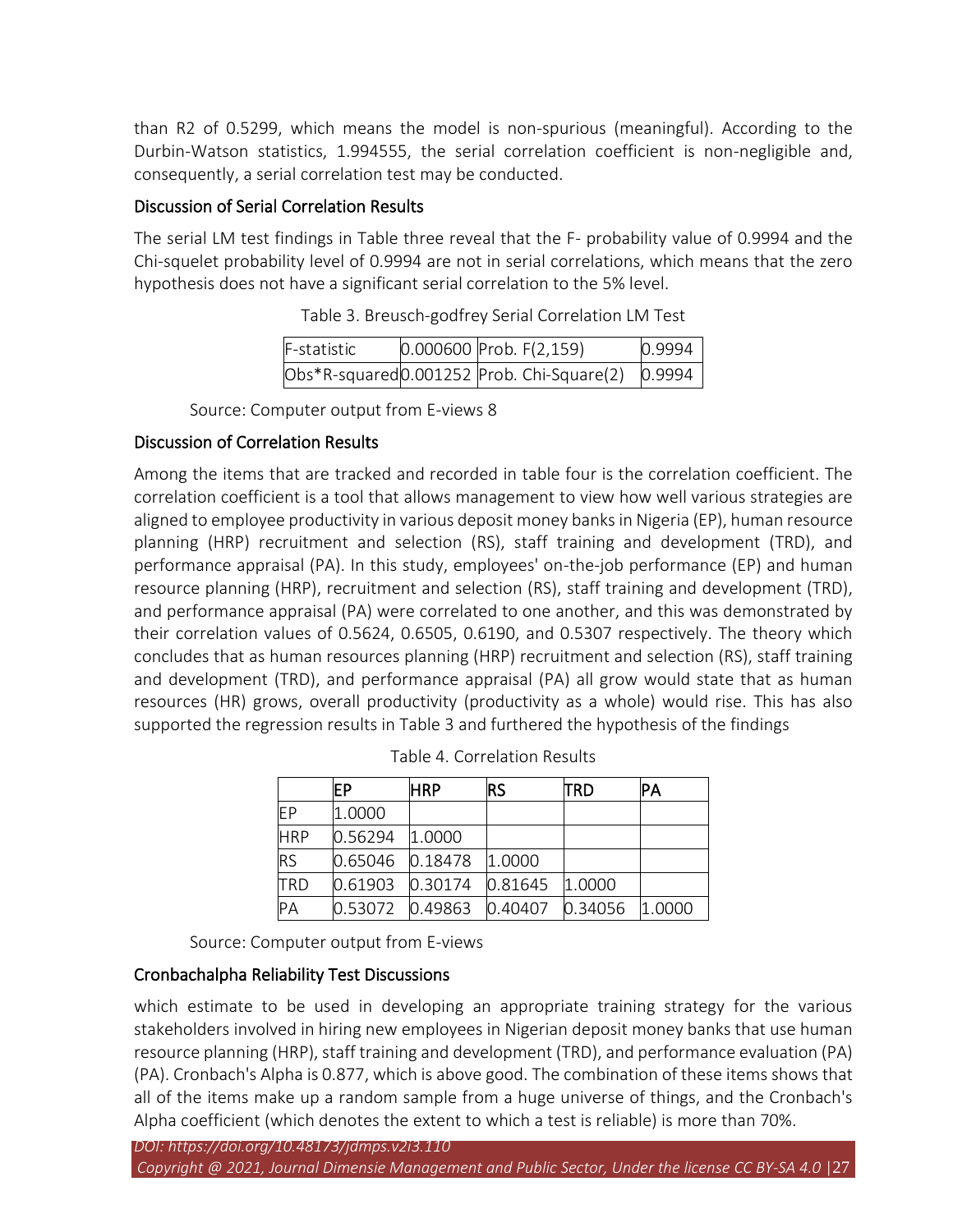than R2 of 0.5299, which means the model is non-spurious (meaningful). According to the Durbin-Watson statistics, 1.994555, the serial correlation coefficient is non-negligible and, consequently, a serial correlation test may be conducted.

# Discussion of Serial Correlation Results

The serial LM test findings in Table three reveal that the F- probability value of 0.9994 and the Chi-squelet probability level of 0.9994 are not in serial correlations, which means that the zero hypothesis does not have a significant serial correlation to the 5% level.

| F-statistic | $0.000600$ Prob. $F(2,159)$               | 0.9994 |
|-------------|-------------------------------------------|--------|
|             | Obs*R-squared0.001252 Prob. Chi-Square(2) | 0.9994 |

Table 3. Breusch-godfrey Serial Correlation LM Test

Source: Computer output from E-views 8

# Discussion of Correlation Results

Among the items that are tracked and recorded in table four is the correlation coefficient. The correlation coefficient is a tool that allows management to view how well various strategies are aligned to employee productivity in various deposit money banks in Nigeria (EP), human resource planning (HRP) recruitment and selection (RS), staff training and development (TRD), and performance appraisal (PA). In this study, employees' on-the-job performance (EP) and human resource planning (HRP), recruitment and selection (RS), staff training and development (TRD), and performance appraisal (PA) were correlated to one another, and this was demonstrated by their correlation values of 0.5624, 0.6505, 0.6190, and 0.5307 respectively. The theory which concludes that as human resources planning (HRP) recruitment and selection (RS), staff training and development (TRD), and performance appraisal (PA) all grow would state that as human resources (HR) grows, overall productivity (productivity as a whole) would rise. This has also supported the regression results in Table 3 and furthered the hypothesis of the findings

|            | IΕP             | <b>HRP</b> | <b>RS</b> | TRD     | IΡΑ    |
|------------|-----------------|------------|-----------|---------|--------|
| EР         | 1.0000          |            |           |         |        |
| <b>HRP</b> | 0.56294         | 1.0000     |           |         |        |
| <b>RS</b>  | 0.65046 0.18478 |            | 1.0000    |         |        |
| TRD        | 0.61903         | 0.30174    | 0.81645   | 1.0000  |        |
| PA         | 0.53072         | 0.49863    | 0.40407   | 0.34056 | 1.0000 |

Table 4. Correlation Results

Source: Computer output from E-views

# Cronbachalpha Reliability Test Discussions

which estimate to be used in developing an appropriate training strategy for the various stakeholders involved in hiring new employees in Nigerian deposit money banks that use human resource planning (HRP), staff training and development (TRD), and performance evaluation (PA) (PA). Cronbach's Alpha is 0.877, which is above good. The combination of these items shows that all of the items make up a random sample from a huge universe of things, and the Cronbach's Alpha coefficient (which denotes the extent to which a test is reliable) is more than 70%.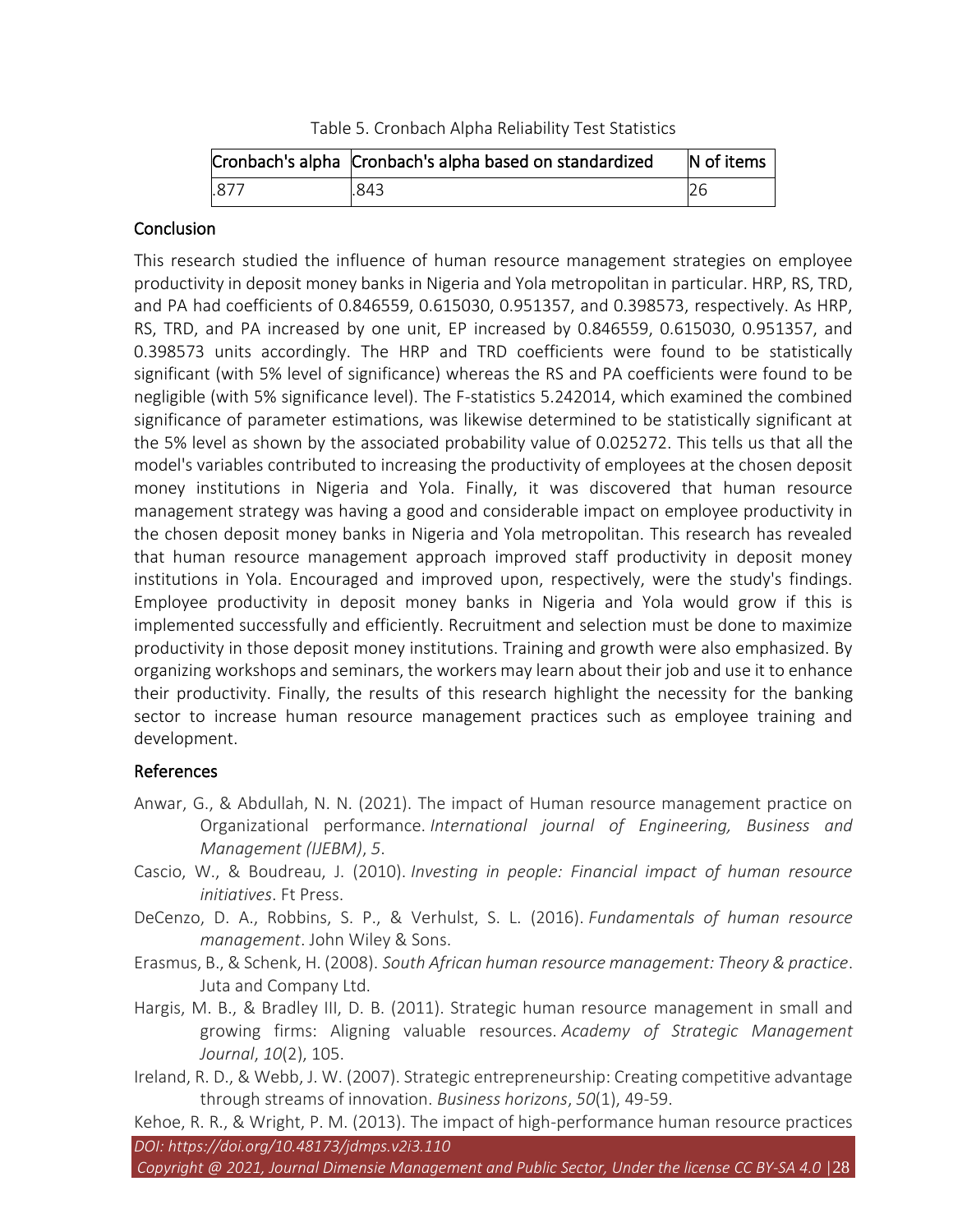Table 5. Cronbach Alpha Reliability Test Statistics

|      | Cronbach's alpha Cronbach's alpha based on standardized | N of items |
|------|---------------------------------------------------------|------------|
| .877 | .843                                                    |            |

#### Conclusion

This research studied the influence of human resource management strategies on employee productivity in deposit money banks in Nigeria and Yola metropolitan in particular. HRP, RS, TRD, and PA had coefficients of 0.846559, 0.615030, 0.951357, and 0.398573, respectively. As HRP, RS, TRD, and PA increased by one unit, EP increased by 0.846559, 0.615030, 0.951357, and 0.398573 units accordingly. The HRP and TRD coefficients were found to be statistically significant (with 5% level of significance) whereas the RS and PA coefficients were found to be negligible (with 5% significance level). The F-statistics 5.242014, which examined the combined significance of parameter estimations, was likewise determined to be statistically significant at the 5% level as shown by the associated probability value of 0.025272. This tells us that all the model's variables contributed to increasing the productivity of employees at the chosen deposit money institutions in Nigeria and Yola. Finally, it was discovered that human resource management strategy was having a good and considerable impact on employee productivity in the chosen deposit money banks in Nigeria and Yola metropolitan. This research has revealed that human resource management approach improved staff productivity in deposit money institutions in Yola. Encouraged and improved upon, respectively, were the study's findings. Employee productivity in deposit money banks in Nigeria and Yola would grow if this is implemented successfully and efficiently. Recruitment and selection must be done to maximize productivity in those deposit money institutions. Training and growth were also emphasized. By organizing workshops and seminars, the workers may learn about their job and use it to enhance their productivity. Finally, the results of this research highlight the necessity for the banking sector to increase human resource management practices such as employee training and development.

### References

- Anwar, G., & Abdullah, N. N. (2021). The impact of Human resource management practice on Organizational performance. *International journal of Engineering, Business and Management (IJEBM)*, *5*.
- Cascio, W., & Boudreau, J. (2010). *Investing in people: Financial impact of human resource initiatives*. Ft Press.
- DeCenzo, D. A., Robbins, S. P., & Verhulst, S. L. (2016). *Fundamentals of human resource management*. John Wiley & Sons.
- Erasmus, B., & Schenk, H. (2008). *South African human resource management: Theory & practice*. Juta and Company Ltd.
- Hargis, M. B., & Bradley III, D. B. (2011). Strategic human resource management in small and growing firms: Aligning valuable resources. *Academy of Strategic Management Journal*, *10*(2), 105.
- Ireland, R. D., & Webb, J. W. (2007). Strategic entrepreneurship: Creating competitive advantage through streams of innovation. *Business horizons*, *50*(1), 49-59.

*DOI: https://doi.org/10.48173/jdmps.v2i3.110 Copyright @ 2021, Journal Dimensie Management and Public Sector, Under the license CC BY-SA 4.0* |28 Kehoe, R. R., & Wright, P. M. (2013). The impact of high-performance human resource practices